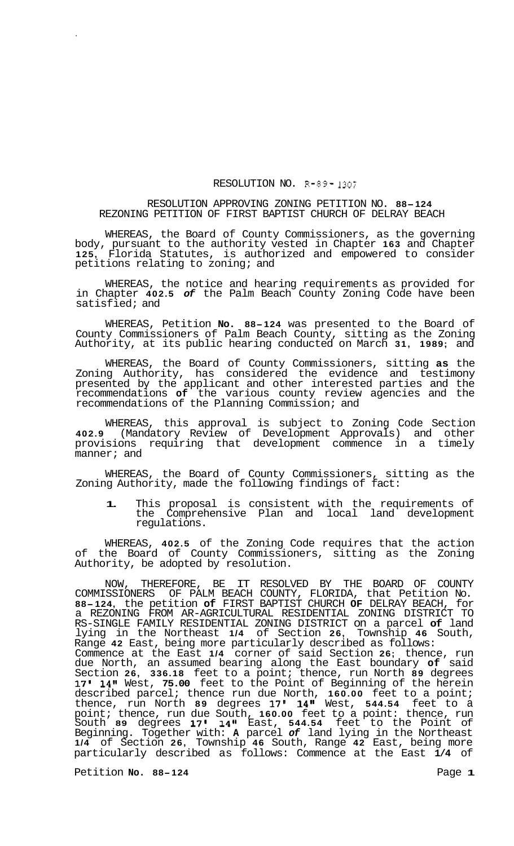## RESOLUTION NO. R-89- **1307**

## RESOLUTION APPROVING ZONING PETITION NO. **88-124**  REZONING PETITION OF FIRST BAPTIST CHURCH OF DELRAY BEACH

WHEREAS, the Board of County Commissioners, as the governing body, pursuant to the authority vested in Chapter **163** and Chapter **125,** Florida Statutes, is authorized and empowered to consider petitions relating to zoning; and

WHEREAS, the notice and hearing requirements as provided for in Chapter **402.5** *of* the Palm Beach County Zoning Code have been satisfied; and

WHEREAS, Petition **No. 88-124** was presented to the Board of County Commissioners of Palm Beach County, sitting as the Zoning Authority, at its public hearing conducted on March **31, 1989;** and

WHEREAS, the Board of County Commissioners, sitting **as** the Zoning Authority, has considered the evidence and testimony presented by the applicant and other interested parties and the recommendations **of** the various county review agencies and the recommendations of the Planning Commission; and

WHEREAS, this approval is subject to Zoning Code Section **402.9** (Mandatory Review of Development Approvals) and other provisions requiring that development commence in a timely manner; and

WHEREAS, the Board of County Commissioners, sitting as the Zoning Authority, made the following findings of fact:

**1.** This proposal is consistent with the requirements of the Comprehensive Plan and local land development regulations.

WHEREAS, **402.5** of the Zoning Code requires that the action of the Board of County Commissioners, sitting as the Zoning Authority, be adopted by resolution.

NOW, THEREFORE, BE IT RESOLVED BY THE BOARD OF COUNTY COMMISSIONERS OF PALM BEACH COUNTY, FLORIDA, that Petition No. **88-124,** the petition **of** FIRST BAPTIST CHURCH **OF** DELRAY BEACH, for a REZONING FROM AR-AGRICULTURAL RESIDENTIAL ZONING DISTRICT TO RS-SINGLE FAMILY RESIDENTIAL ZONING DISTRICT on a parcel **of** land lying in the Northeast **1/4** of Section **26,** Township **46** South, Range **42** East, being more particularly described as follows: Commence at the East **1/4** corner of said Section **26;** thence, run due North, an assumed bearing along the East boundary **of** said Section **26, 336.18** feet to a point; thence, run North **89** degrees 17' 14" West, 75.00 feet to the Point of Beginning of the herein described parcel; thence run due North, **160.00** feet to a point; thence, run North **89** degrees **17' 14"** West, **544.54** feet to a point; thence, run due South, **160.00** feet to a point: thence, run South **89** degrees **17' 14"** East, **544.54** feet to the Point of Beginning. Together with: **A** parcel *of* land lying in the Northeast **1/4** of Section **26,** Township **46** South, Range **42** East, being more particularly described as follows: Commence at the East **1/4** of

Petition **No. 88-124 Page 1**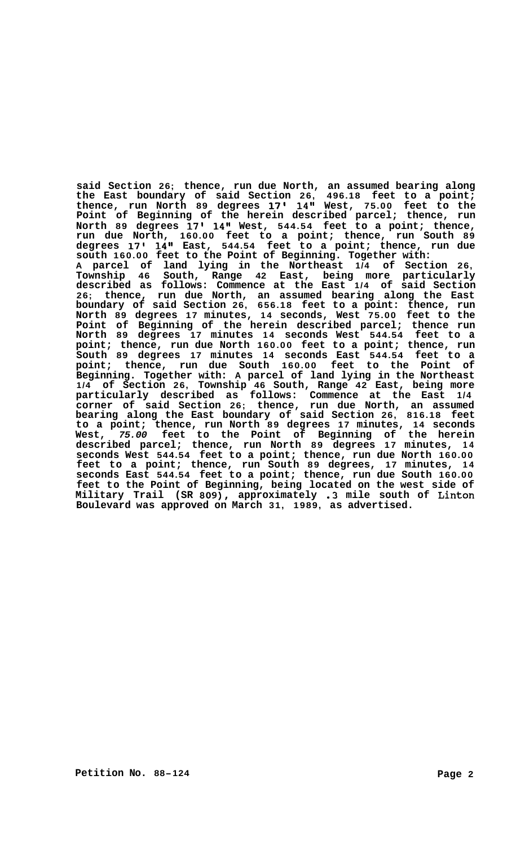**said Section 26; thence, run due North, an assumed bearing along the East boundary of said Section 26, 496.18 feet to a point; thence, run North 89 degrees 17' 14Il West, 75.00 feet to the Point of Beginning of the herein described parcel; thence, run North 89 degrees 17' 14" West, 544.54 feet to a point; thence, run due North, 160.00 feet to a point; thence, run South 89 degrees 17' 14" East, 544.54 feet to a point; thence, run due south 160.00 feet to the Point of Beginning. Together with: A parcel of land lying in the Northeast 1/4 of Section 26, Township 46 South, Range 42 East, being more particularly described as follows: Commence at the East 1/4 of said Section 26; thence, run due North, an assumed bearing along the East boundary of said Section 26, 656.18 feet to a point: thence, run North 89 degrees 17 minutes, 14 seconds, West 75.00 feet to the Point of Beginning of the herein described parcel; thence run North 89 degrees 17 minutes 14 seconds West 544.54 feet to a point; thence, run due North 160.00 feet to a point; thence, run South 89 degrees 17 minutes 14 seconds East 544.54 feet to a point; thence, run due South 160.00 feet to the Point of Beginning. Together with: A parcel of land lying in the Northeast 1/4 of Section 26, Township 46 South, Range 42 East, being more particularly described as follows: Commence at the East 1/4 corner of said Section 26; thence, run due North, an assumed bearing along the East boundary of said Section 26, 816.18 feet to a point; thence, run North 89 degrees 17 minutes, 14 seconds West,** *75.00* **feet to the Point of Beginning of the herein described parcel; thence, run North 89 degrees 17 minutes, 14 seconds West 544.54 feet to a point; thence, run due North 160.00 feet to a point; thence, run South 89 degrees, 17 minutes, 14 seconds East 544.54 feet to a point; thence, run due South 160.00 feet to the Point of Beginning, being located on the west side of Military Trail (SR 809), approximately .3 mile south of Linton Boulevard was approved on March 31, 1989, as advertised.**